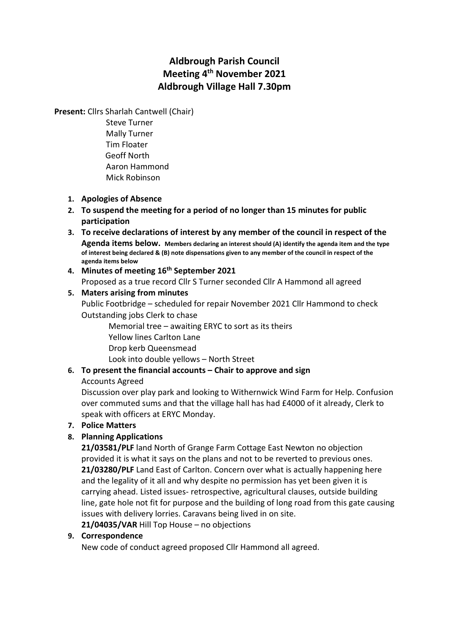# Aldbrough Parish Council Meeting 4<sup>th</sup> November 2021 Aldbrough Village Hall 7.30pm

Present: Cllrs Sharlah Cantwell (Chair)

 Steve Turner Mally Turner Tim Floater Geoff North Aaron Hammond Mick Robinson

- 1. Apologies of Absence
- 2. To suspend the meeting for a period of no longer than 15 minutes for public participation
- 3. To receive declarations of interest by any member of the council in respect of the Agenda items below. Members declaring an interest should (A) identify the agenda item and the type of interest being declared & (B) note dispensations given to any member of the council in respect of the agenda items below
- 4. Minutes of meeting 16<sup>th</sup> September 2021 Proposed as a true record Cllr S Turner seconded Cllr A Hammond all agreed

### 5. Maters arising from minutes

Public Footbridge – scheduled for repair November 2021 Cllr Hammond to check Outstanding jobs Clerk to chase

Memorial tree – awaiting ERYC to sort as its theirs Yellow lines Carlton Lane Drop kerb Queensmead Look into double yellows – North Street

# 6. To present the financial accounts – Chair to approve and sign

### Accounts Agreed

Discussion over play park and looking to Withernwick Wind Farm for Help. Confusion over commuted sums and that the village hall has had £4000 of it already, Clerk to speak with officers at ERYC Monday.

## 7. Police Matters

## 8. Planning Applications

21/03581/PLF land North of Grange Farm Cottage East Newton no objection provided it is what it says on the plans and not to be reverted to previous ones. 21/03280/PLF Land East of Carlton. Concern over what is actually happening here and the legality of it all and why despite no permission has yet been given it is carrying ahead. Listed issues- retrospective, agricultural clauses, outside building line, gate hole not fit for purpose and the building of long road from this gate causing issues with delivery lorries. Caravans being lived in on site. 21/04035/VAR Hill Top House – no objections

### 9. Correspondence

New code of conduct agreed proposed Cllr Hammond all agreed.